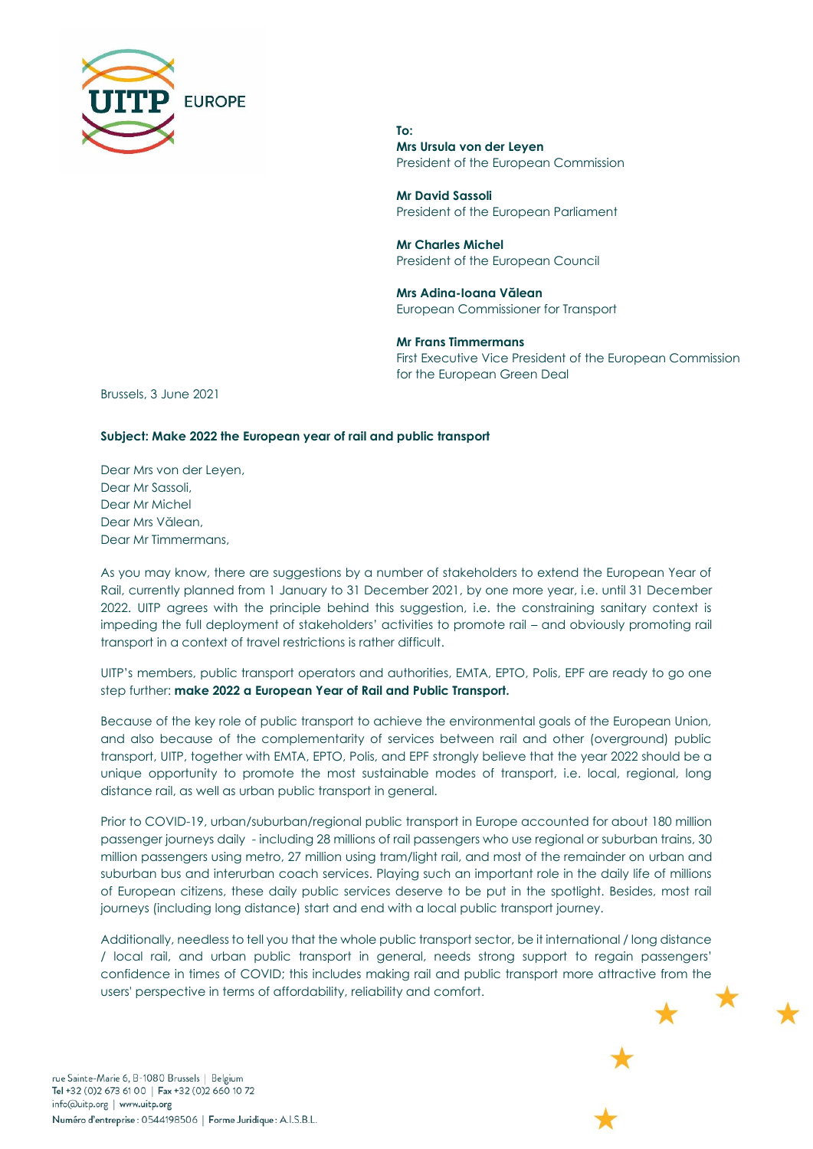

**To: Mrs Ursula von der Leyen** President of the European Commission

**Mr David Sassoli** President of the European Parliament

**Mr Charles Michel** President of the European Council

**Mrs Adina-Ioana Vălean**  European Commissioner for Transport

**Mr Frans Timmermans**  First Executive Vice President of the European Commission for the European Green Deal

Brussels, 3 June 2021

## **Subject: Make 2022 the European year of rail and public transport**

Dear Mrs von der Leyen, Dear Mr Sassoli, Dear Mr Michel Dear Mrs Vălean, Dear Mr Timmermans,

As you may know, there are suggestions by a number of stakeholders to extend the European Year of Rail, currently planned from 1 January to 31 December 2021, by one more year, i.e. until 31 December 2022. UITP agrees with the principle behind this suggestion, i.e. the constraining sanitary context is impeding the full deployment of stakeholders' activities to promote rail – and obviously promoting rail transport in a context of travel restrictions is rather difficult.

UITP's members, public transport operators and authorities, EMTA, EPTO, Polis, EPF are ready to go one step further: **make 2022 a European Year of Rail and Public Transport.**

Because of the key role of public transport to achieve the environmental goals of the European Union, and also because of the complementarity of services between rail and other (overground) public transport, UITP, together with EMTA, EPTO, Polis, and EPF strongly believe that the year 2022 should be a unique opportunity to promote the most sustainable modes of transport, i.e. local, regional, long distance rail, as well as urban public transport in general.

Prior to COVID-19, urban/suburban/regional public transport in Europe accounted for about 180 million passenger journeys daily - including 28 millions of rail passengers who use regional or suburban trains, 30 million passengers using metro, 27 million using tram/light rail, and most of the remainder on urban and suburban bus and interurban coach services. Playing such an important role in the daily life of millions of European citizens, these daily public services deserve to be put in the spotlight. Besides, most rail journeys (including long distance) start and end with a local public transport journey.

Additionally, needless to tell you that the whole public transport sector, be it international / long distance / local rail, and urban public transport in general, needs strong support to regain passengers' confidence in times of COVID; this includes making rail and public transport more attractive from the users' perspective in terms of affordability, reliability and comfort.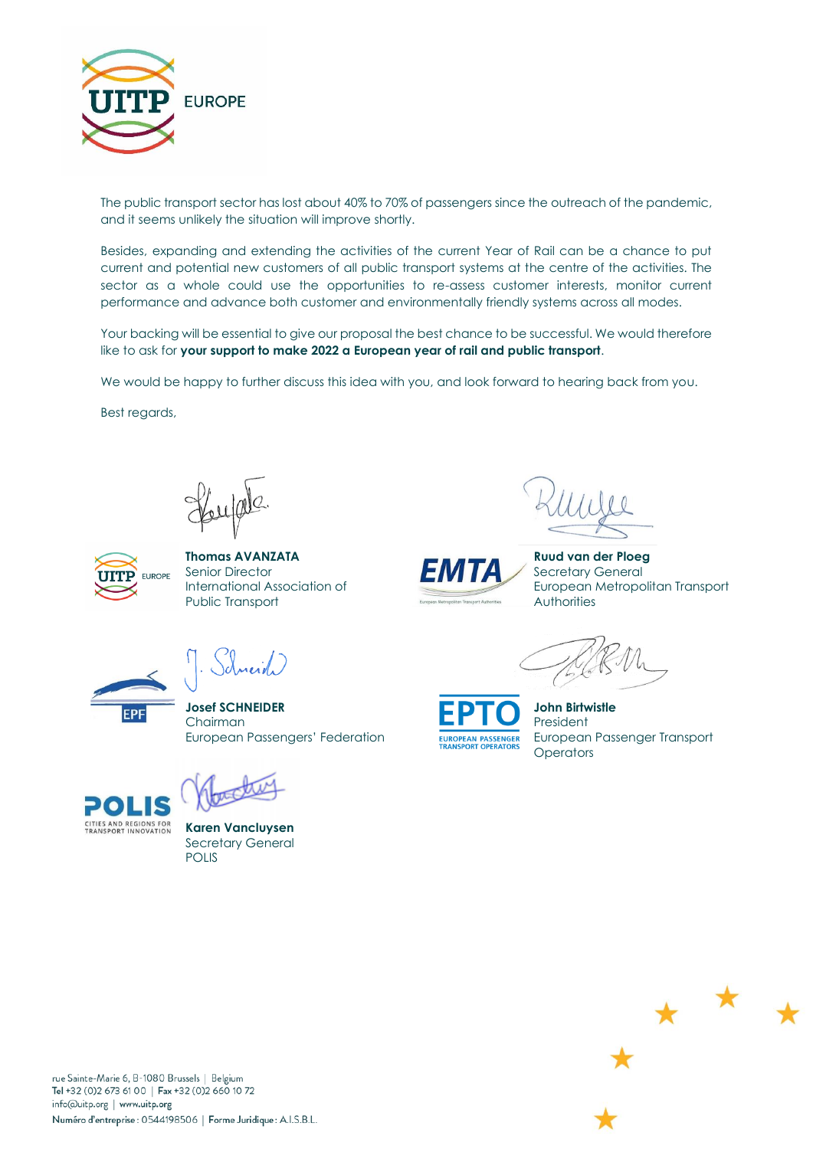

The public transport sector has lost about 40% to 70% of passengers since the outreach of the pandemic, and it seems unlikely the situation will improve shortly.

Besides, expanding and extending the activities of the current Year of Rail can be a chance to put current and potential new customers of all public transport systems at the centre of the activities. The sector as a whole could use the opportunities to re-assess customer interests, monitor current performance and advance both customer and environmentally friendly systems across all modes.

Your backing will be essential to give our proposal the best chance to be successful. We would therefore like to ask for **your support to make 2022 a European year of rail and public transport**.

We would be happy to further discuss this idea with you, and look forward to hearing back from you.

Best regards,



**Thomas AVANZATA**<br> **TANTA Ruud van der Ploeg**<br> **Ruud van der Ploeg**<br> **Ruud van der Ploeg**<br>
Secretary General Senior Director **Senior Accepts** Secretary General Public Transport **Authorities** Authorities Authorities

سأندمد



International Association of **European Metropolitan Transport** 



European Passengers' Federation EUROPEAN PASSENGER European Passenger Transport **Operators** 



EPF

**Karen Vancluysen** Secretary General POLIS